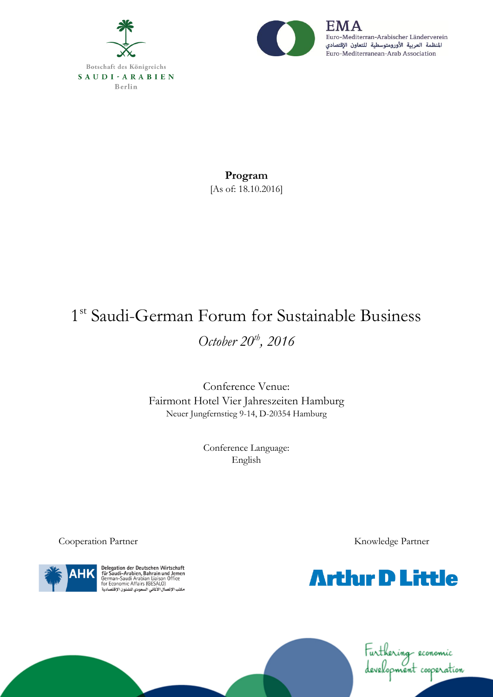



Euro-Mediterran-Arabischer Länderverein المنظمة العربية الأورومتوسطية للتعاون الإقتصادي Euro-Mediterranean-Arab Association

**Program** [As of: 18.10.2016]

## 1<sup>st</sup> Saudi-German Forum for Sustainable Business *October 20th , 2016*

Conference Venue: Fairmont Hotel Vier Jahreszeiten Hamburg Neuer Jungfernstieg 9-14, D-20354 Hamburg

> Conference Language: English



Delegation der Deutschen Wirtschaft<br>für Saudi-Arabien, Bahrain und Jemen<br>German-Saudi Arabian Liaison Office<br>for Economic Affairs (GESALO) ror Economic Amano (OESAEO)<br>مكتب الإتصال الأناني السعودي للشئون الإقتصادية

Cooperation Partner Knowledge Partner



Furthering economic<br>development cooperation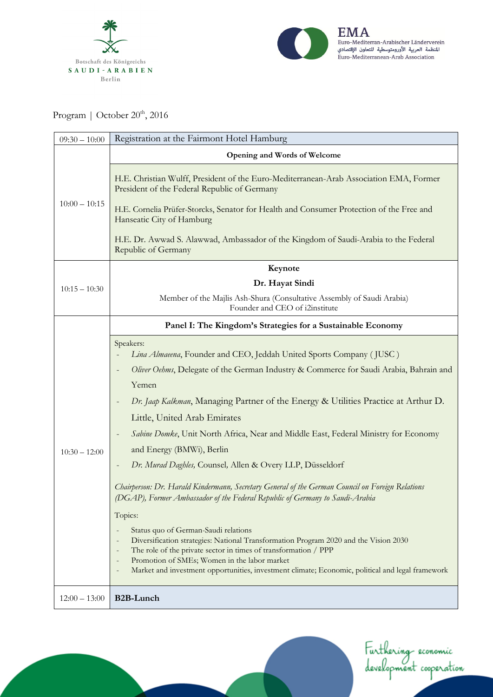



Program | October 20<sup>th</sup>, 2016

| $09:30 - 10:00$ | Registration at the Fairmont Hotel Hamburg                                                                                                                                       |
|-----------------|----------------------------------------------------------------------------------------------------------------------------------------------------------------------------------|
| $10:00 - 10:15$ | Opening and Words of Welcome                                                                                                                                                     |
|                 | H.E. Christian Wulff, President of the Euro-Mediterranean-Arab Association EMA, Former<br>President of the Federal Republic of Germany                                           |
|                 | H.E. Cornelia Prüfer-Storcks, Senator for Health and Consumer Protection of the Free and<br>Hanseatic City of Hamburg                                                            |
|                 | H.E. Dr. Awwad S. Alawwad, Ambassador of the Kingdom of Saudi-Arabia to the Federal<br>Republic of Germany                                                                       |
|                 | Keynote                                                                                                                                                                          |
| $10:15 - 10:30$ | Dr. Hayat Sindi                                                                                                                                                                  |
|                 | Member of the Majlis Ash-Shura (Consultative Assembly of Saudi Arabia)<br>Founder and CEO of i2institute                                                                         |
|                 | Panel I: The Kingdom's Strategies for a Sustainable Economy                                                                                                                      |
|                 | Speakers:<br>Lina Almaeena, Founder and CEO, Jeddah United Sports Company (JUSC)                                                                                                 |
|                 | Oliver Oehms, Delegate of the German Industry & Commerce for Saudi Arabia, Bahrain and<br>Yemen                                                                                  |
|                 | Dr. Jaap Kalkman, Managing Partner of the Energy & Utilities Practice at Arthur D.<br>Little, United Arab Emirates                                                               |
| $10:30 - 12:00$ | Sabine Domke, Unit North Africa, Near and Middle East, Federal Ministry for Economy                                                                                              |
|                 | and Energy (BMWi), Berlin                                                                                                                                                        |
|                 | Dr. Murad Daghles, Counsel, Allen & Overy LLP, Düsseldorf                                                                                                                        |
|                 | Chairperson: Dr. Harald Kindermann, Secretary General of the German Council on Foreign Relations<br>(DGAP), Former Ambassador of the Federal Republic of Germany to Saudi-Arabia |
|                 | Topics:                                                                                                                                                                          |
|                 | Status quo of German-Saudi relations<br>Diversification strategies: National Transformation Program 2020 and the Vision 2030                                                     |
|                 | The role of the private sector in times of transformation / PPP                                                                                                                  |
|                 | Promotion of SMEs; Women in the labor market<br>Market and investment opportunities, investment climate; Economic, political and legal framework                                 |
| $12:00 - 13:00$ | <b>B2B-Lunch</b>                                                                                                                                                                 |

Furthering economic<br>development cooperation